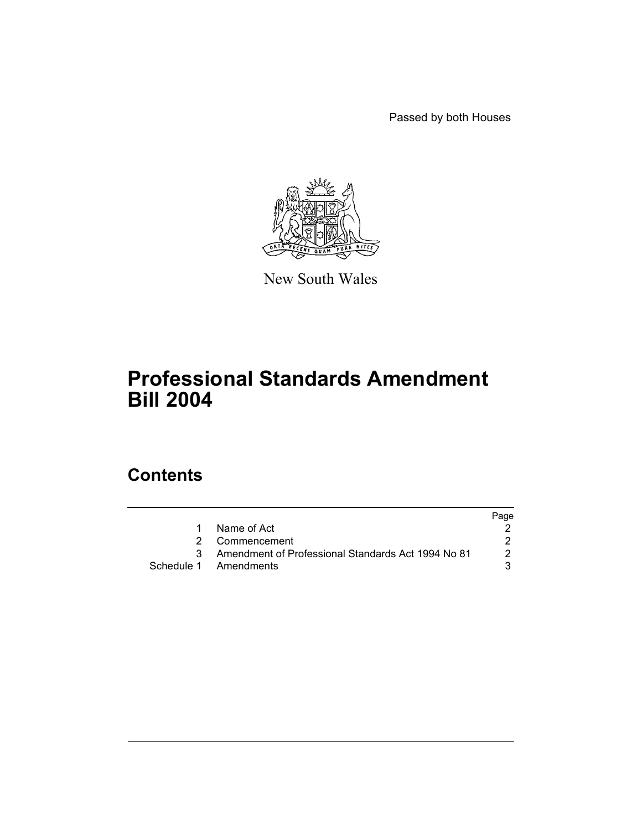Passed by both Houses



New South Wales

# **Professional Standards Amendment Bill 2004**

## **Contents**

|                                                    | Page |
|----------------------------------------------------|------|
| Name of Act                                        |      |
| 2 Commencement                                     |      |
| Amendment of Professional Standards Act 1994 No 81 |      |
| Schedule 1 Amendments                              |      |
|                                                    |      |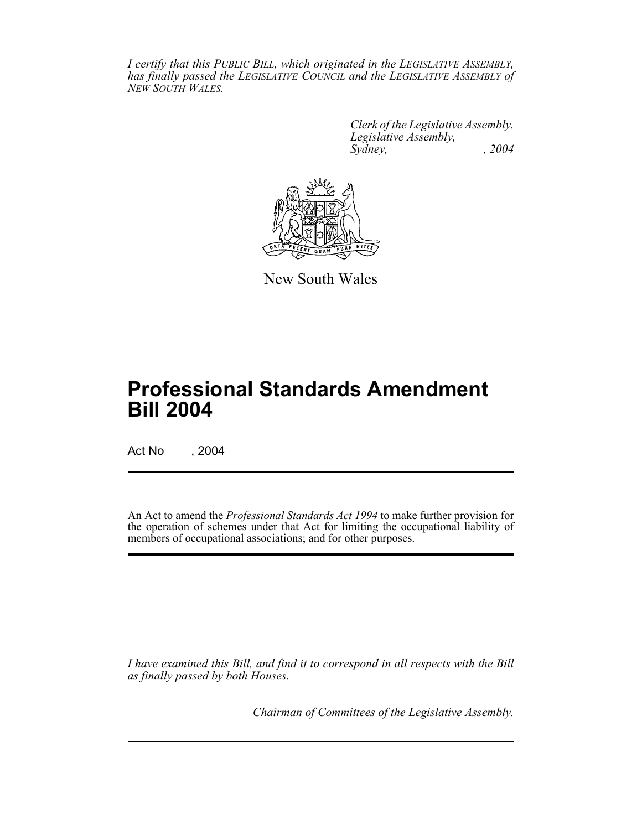*I certify that this PUBLIC BILL, which originated in the LEGISLATIVE ASSEMBLY, has finally passed the LEGISLATIVE COUNCIL and the LEGISLATIVE ASSEMBLY of NEW SOUTH WALES.*

> *Clerk of the Legislative Assembly. Legislative Assembly, Sydney, , 2004*



New South Wales

## **Professional Standards Amendment Bill 2004**

Act No , 2004

An Act to amend the *Professional Standards Act 1994* to make further provision for the operation of schemes under that Act for limiting the occupational liability of members of occupational associations; and for other purposes.

*I have examined this Bill, and find it to correspond in all respects with the Bill as finally passed by both Houses.*

*Chairman of Committees of the Legislative Assembly.*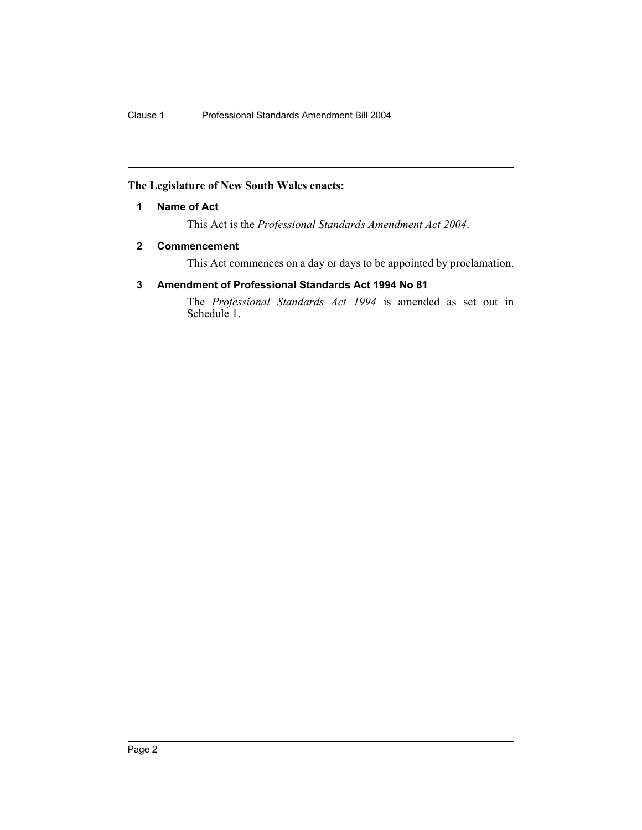### **The Legislature of New South Wales enacts:**

### **1 Name of Act**

This Act is the *Professional Standards Amendment Act 2004*.

#### **2 Commencement**

This Act commences on a day or days to be appointed by proclamation.

## **3 Amendment of Professional Standards Act 1994 No 81**

The *Professional Standards Act 1994* is amended as set out in Schedule 1.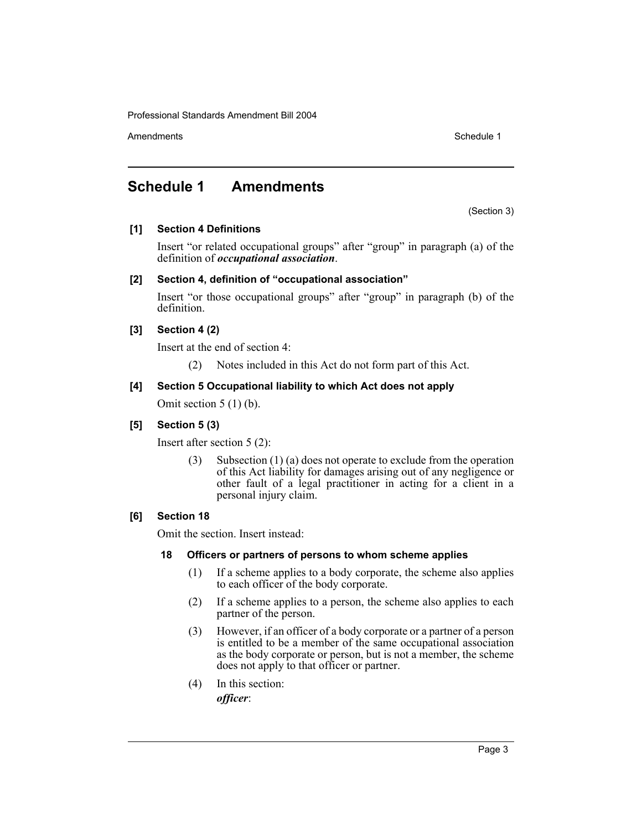Amendments **Schedule 1** and the set of the set of the set of the set of the set of the set of the set of the set of the set of the set of the set of the set of the set of the set of the set of the set of the set of the set

## **Schedule 1 Amendments**

(Section 3)

## **[1] Section 4 Definitions**

Insert "or related occupational groups" after "group" in paragraph (a) of the definition of *occupational association*.

## **[2] Section 4, definition of "occupational association"**

Insert "or those occupational groups" after "group" in paragraph (b) of the definition.

## **[3] Section 4 (2)**

Insert at the end of section 4:

(2) Notes included in this Act do not form part of this Act.

## **[4] Section 5 Occupational liability to which Act does not apply**

Omit section 5 (1) (b).

## **[5] Section 5 (3)**

Insert after section 5 (2):

(3) Subsection (1) (a) does not operate to exclude from the operation of this Act liability for damages arising out of any negligence or other fault of a legal practitioner in acting for a client in a personal injury claim.

## **[6] Section 18**

Omit the section. Insert instead:

## **18 Officers or partners of persons to whom scheme applies**

- (1) If a scheme applies to a body corporate, the scheme also applies to each officer of the body corporate.
- (2) If a scheme applies to a person, the scheme also applies to each partner of the person.
- (3) However, if an officer of a body corporate or a partner of a person is entitled to be a member of the same occupational association as the body corporate or person, but is not a member, the scheme does not apply to that officer or partner.
- (4) In this section: *officer*: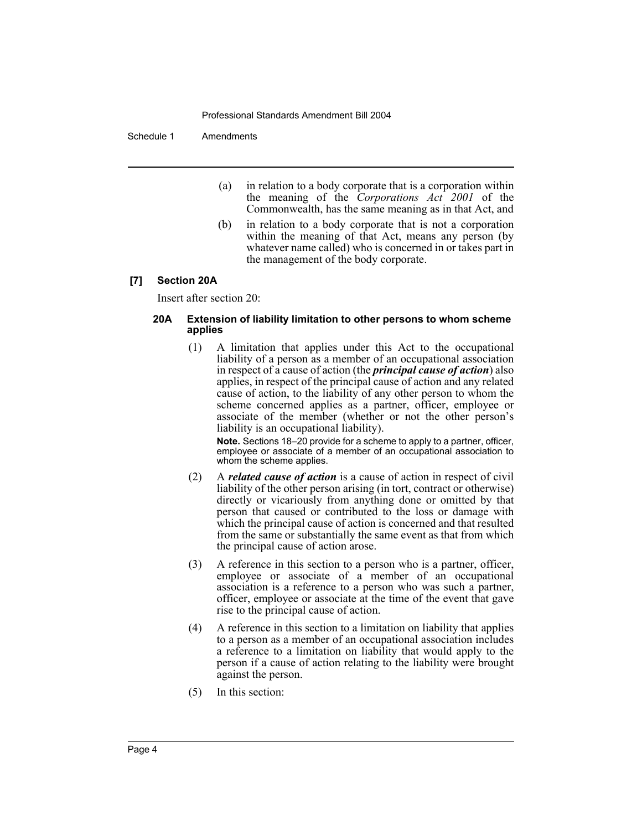#### Schedule 1 Amendments

- (a) in relation to a body corporate that is a corporation within the meaning of the *Corporations Act 2001* of the Commonwealth, has the same meaning as in that Act, and
- (b) in relation to a body corporate that is not a corporation within the meaning of that Act, means any person (by whatever name called) who is concerned in or takes part in the management of the body corporate.

#### **[7] Section 20A**

Insert after section 20:

#### **20A Extension of liability limitation to other persons to whom scheme applies**

(1) A limitation that applies under this Act to the occupational liability of a person as a member of an occupational association in respect of a cause of action (the *principal cause of action*) also applies, in respect of the principal cause of action and any related cause of action, to the liability of any other person to whom the scheme concerned applies as a partner, officer, employee or associate of the member (whether or not the other person's liability is an occupational liability).

**Note.** Sections 18–20 provide for a scheme to apply to a partner, officer, employee or associate of a member of an occupational association to whom the scheme applies.

- (2) A *related cause of action* is a cause of action in respect of civil liability of the other person arising (in tort, contract or otherwise) directly or vicariously from anything done or omitted by that person that caused or contributed to the loss or damage with which the principal cause of action is concerned and that resulted from the same or substantially the same event as that from which the principal cause of action arose.
- (3) A reference in this section to a person who is a partner, officer, employee or associate of a member of an occupational association is a reference to a person who was such a partner, officer, employee or associate at the time of the event that gave rise to the principal cause of action.
- (4) A reference in this section to a limitation on liability that applies to a person as a member of an occupational association includes a reference to a limitation on liability that would apply to the person if a cause of action relating to the liability were brought against the person.
- (5) In this section: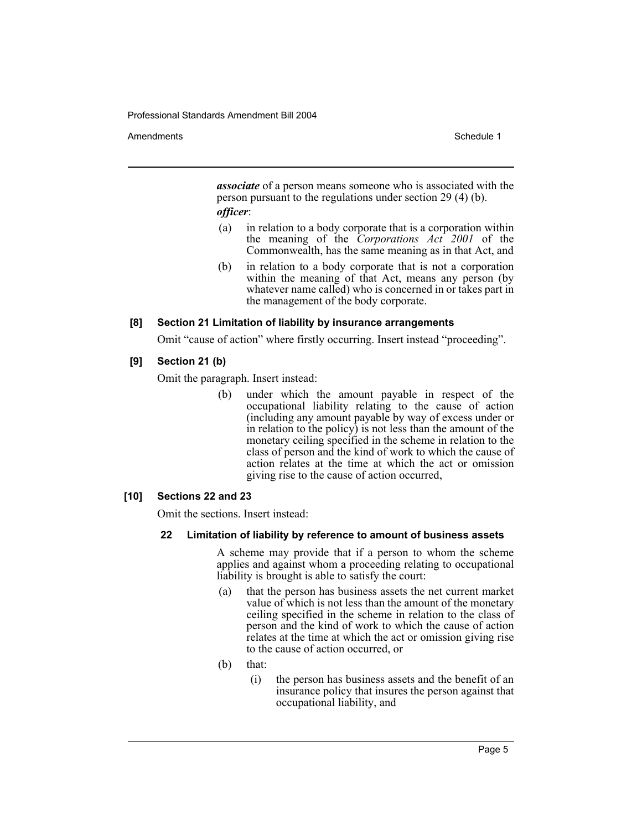#### Amendments **Amendments** Schedule 1

*associate* of a person means someone who is associated with the person pursuant to the regulations under section 29 (4) (b). *officer*:

- (a) in relation to a body corporate that is a corporation within the meaning of the *Corporations Act 2001* of the Commonwealth, has the same meaning as in that Act, and
- (b) in relation to a body corporate that is not a corporation within the meaning of that Act, means any person (by whatever name called) who is concerned in or takes part in the management of the body corporate.

#### **[8] Section 21 Limitation of liability by insurance arrangements**

Omit "cause of action" where firstly occurring. Insert instead "proceeding".

#### **[9] Section 21 (b)**

Omit the paragraph. Insert instead:

(b) under which the amount payable in respect of the occupational liability relating to the cause of action (including any amount payable by way of excess under or in relation to the policy) is not less than the amount of the monetary ceiling specified in the scheme in relation to the class of person and the kind of work to which the cause of action relates at the time at which the act or omission giving rise to the cause of action occurred,

#### **[10] Sections 22 and 23**

Omit the sections. Insert instead:

#### **22 Limitation of liability by reference to amount of business assets**

A scheme may provide that if a person to whom the scheme applies and against whom a proceeding relating to occupational liability is brought is able to satisfy the court:

- (a) that the person has business assets the net current market value of which is not less than the amount of the monetary ceiling specified in the scheme in relation to the class of person and the kind of work to which the cause of action relates at the time at which the act or omission giving rise to the cause of action occurred, or
- (b) that:
	- (i) the person has business assets and the benefit of an insurance policy that insures the person against that occupational liability, and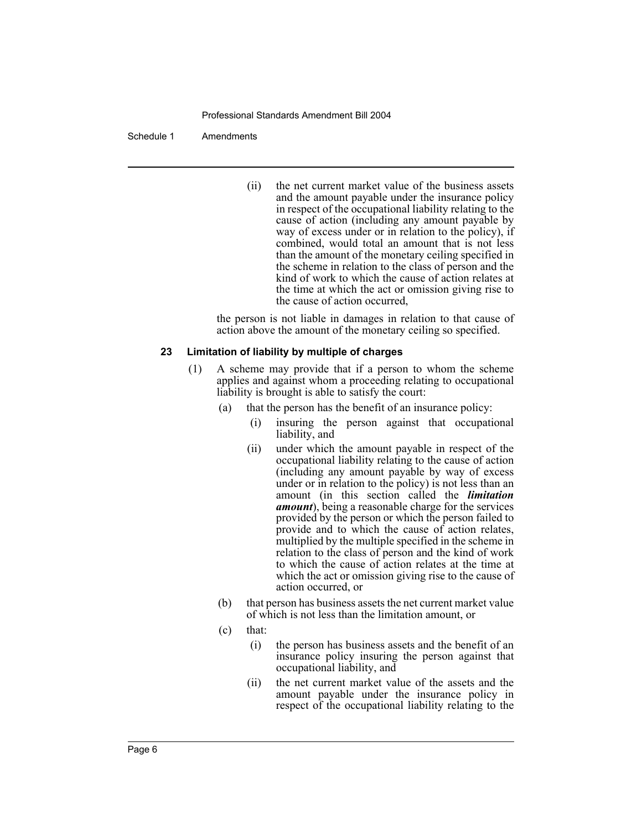#### Schedule 1 Amendments

(ii) the net current market value of the business assets and the amount payable under the insurance policy in respect of the occupational liability relating to the cause of action (including any amount payable by way of excess under or in relation to the policy), if combined, would total an amount that is not less than the amount of the monetary ceiling specified in the scheme in relation to the class of person and the kind of work to which the cause of action relates at the time at which the act or omission giving rise to the cause of action occurred,

the person is not liable in damages in relation to that cause of action above the amount of the monetary ceiling so specified.

#### **23 Limitation of liability by multiple of charges**

- (1) A scheme may provide that if a person to whom the scheme applies and against whom a proceeding relating to occupational liability is brought is able to satisfy the court:
	- (a) that the person has the benefit of an insurance policy:
		- (i) insuring the person against that occupational liability, and
		- (ii) under which the amount payable in respect of the occupational liability relating to the cause of action (including any amount payable by way of excess under or in relation to the policy) is not less than an amount (in this section called the *limitation amount*), being a reasonable charge for the services provided by the person or which the person failed to provide and to which the cause of action relates, multiplied by the multiple specified in the scheme in relation to the class of person and the kind of work to which the cause of action relates at the time at which the act or omission giving rise to the cause of action occurred, or
	- (b) that person has business assets the net current market value of which is not less than the limitation amount, or
	- (c) that:
		- (i) the person has business assets and the benefit of an insurance policy insuring the person against that occupational liability, and
		- (ii) the net current market value of the assets and the amount payable under the insurance policy in respect of the occupational liability relating to the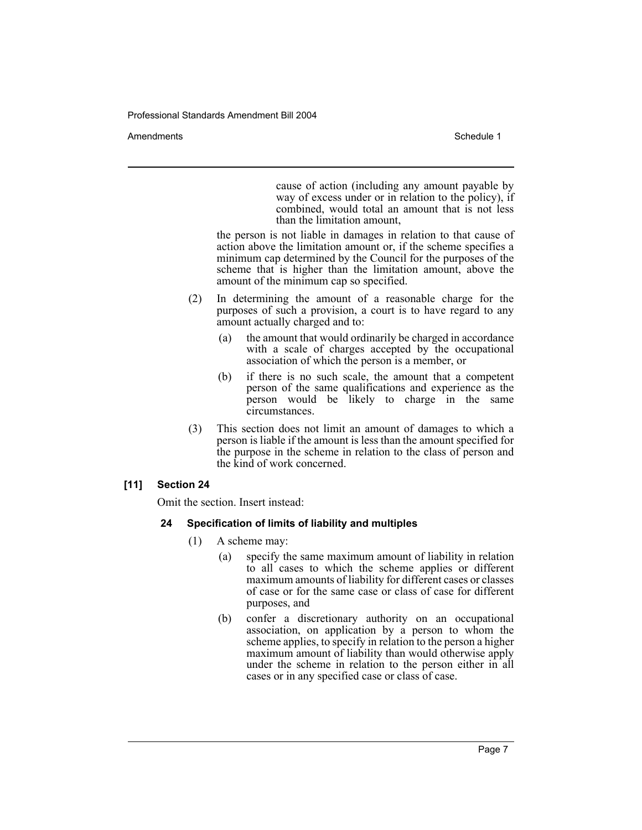Amendments **Schedule 1** and the set of the set of the set of the set of the set of the set of the set of the set of the set of the set of the set of the set of the set of the set of the set of the set of the set of the set

cause of action (including any amount payable by way of excess under or in relation to the policy), if combined, would total an amount that is not less than the limitation amount,

the person is not liable in damages in relation to that cause of action above the limitation amount or, if the scheme specifies a minimum cap determined by the Council for the purposes of the scheme that is higher than the limitation amount, above the amount of the minimum cap so specified.

- (2) In determining the amount of a reasonable charge for the purposes of such a provision, a court is to have regard to any amount actually charged and to:
	- (a) the amount that would ordinarily be charged in accordance with a scale of charges accepted by the occupational association of which the person is a member, or
	- (b) if there is no such scale, the amount that a competent person of the same qualifications and experience as the person would be likely to charge in the same circumstances.
- (3) This section does not limit an amount of damages to which a person is liable if the amount is less than the amount specified for the purpose in the scheme in relation to the class of person and the kind of work concerned.

## **[11] Section 24**

Omit the section. Insert instead:

## **24 Specification of limits of liability and multiples**

- (1) A scheme may:
	- (a) specify the same maximum amount of liability in relation to all cases to which the scheme applies or different maximum amounts of liability for different cases or classes of case or for the same case or class of case for different purposes, and
	- (b) confer a discretionary authority on an occupational association, on application by a person to whom the scheme applies, to specify in relation to the person a higher maximum amount of liability than would otherwise apply under the scheme in relation to the person either in all cases or in any specified case or class of case.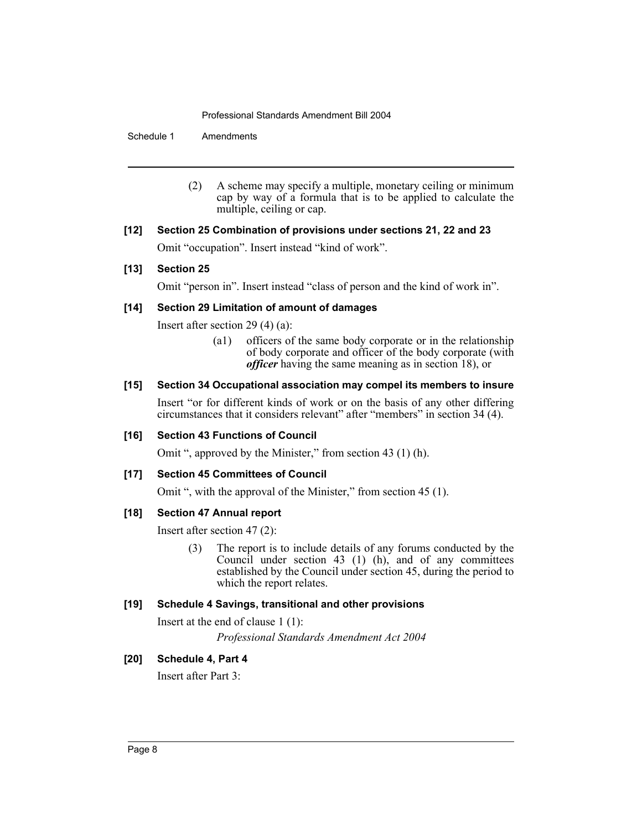Schedule 1 Amendments

- (2) A scheme may specify a multiple, monetary ceiling or minimum cap by way of a formula that is to be applied to calculate the multiple, ceiling or cap.
- **[12] Section 25 Combination of provisions under sections 21, 22 and 23** Omit "occupation". Insert instead "kind of work".

## **[13] Section 25**

Omit "person in". Insert instead "class of person and the kind of work in".

#### **[14] Section 29 Limitation of amount of damages**

Insert after section 29 (4) (a):

(a1) officers of the same body corporate or in the relationship of body corporate and officer of the body corporate (with *officer* having the same meaning as in section 18), or

## **[15] Section 34 Occupational association may compel its members to insure**

Insert "or for different kinds of work or on the basis of any other differing circumstances that it considers relevant" after "members" in section 34 (4).

#### **[16] Section 43 Functions of Council**

Omit ", approved by the Minister," from section 43 (1) (h).

#### **[17] Section 45 Committees of Council**

Omit ", with the approval of the Minister," from section 45 (1).

#### **[18] Section 47 Annual report**

Insert after section 47 (2):

(3) The report is to include details of any forums conducted by the Council under section 43 (1) (h), and of any committees established by the Council under section 45, during the period to which the report relates.

## **[19] Schedule 4 Savings, transitional and other provisions**

Insert at the end of clause 1 (1): *Professional Standards Amendment Act 2004*

#### **[20] Schedule 4, Part 4**

Insert after Part 3: